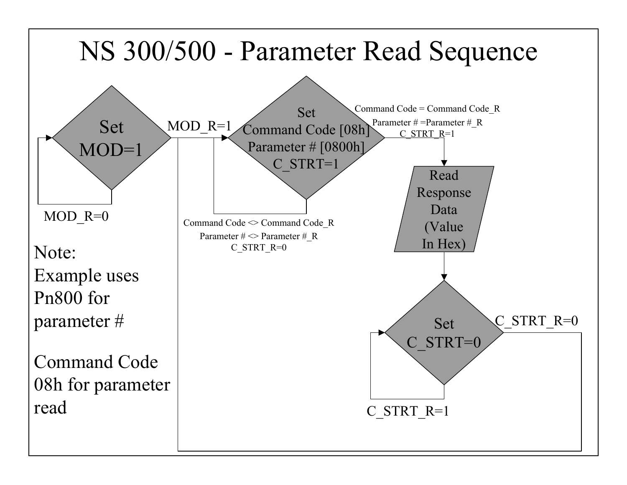## NS 300/500 - Parameter Read Sequence

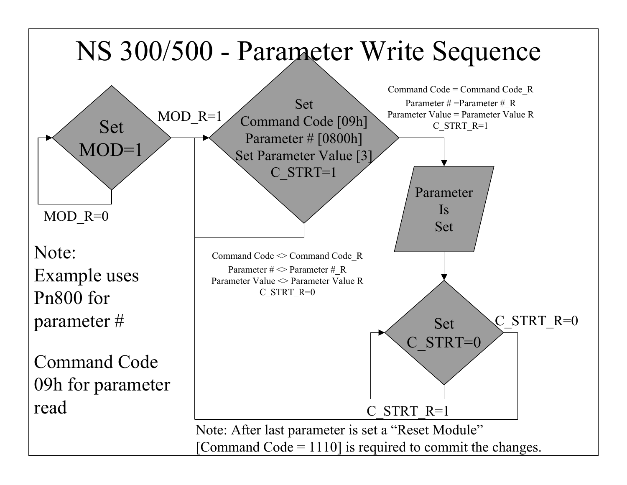## NS 300/500 - Parameter Write Sequence



Note: After last parameter is set a "Reset Module" [Command Code  $= 1110$ ] is required to commit the changes.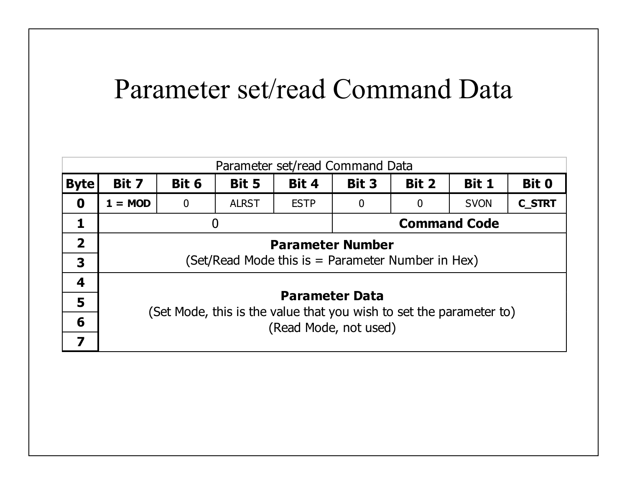## Parameter set/read Command Data

| Parameter set/read Command Data |                                                                                              |                |              |             |                     |       |             |               |  |  |  |  |
|---------------------------------|----------------------------------------------------------------------------------------------|----------------|--------------|-------------|---------------------|-------|-------------|---------------|--|--|--|--|
| <b>Byte</b>                     | Bit 7                                                                                        | Bit 6          | Bit 5        | Bit 4       | Bit 3               | Bit 2 | Bit 1       | <b>Bit 0</b>  |  |  |  |  |
| 0                               | $1 = MOD$                                                                                    | $\bf{0}$       | <b>ALRST</b> | <b>ESTP</b> | 0                   | O     | <b>SVON</b> | <b>C_STRT</b> |  |  |  |  |
| 1                               |                                                                                              | $\overline{0}$ |              |             | <b>Command Code</b> |       |             |               |  |  |  |  |
| $\overline{2}$                  | <b>Parameter Number</b>                                                                      |                |              |             |                     |       |             |               |  |  |  |  |
| 3                               | (Set/Read Mode this is $=$ Parameter Number in Hex)                                          |                |              |             |                     |       |             |               |  |  |  |  |
| 4                               | <b>Parameter Data</b>                                                                        |                |              |             |                     |       |             |               |  |  |  |  |
| 5                               |                                                                                              |                |              |             |                     |       |             |               |  |  |  |  |
| 6                               | (Set Mode, this is the value that you wish to set the parameter to)<br>(Read Mode, not used) |                |              |             |                     |       |             |               |  |  |  |  |
| 7                               |                                                                                              |                |              |             |                     |       |             |               |  |  |  |  |